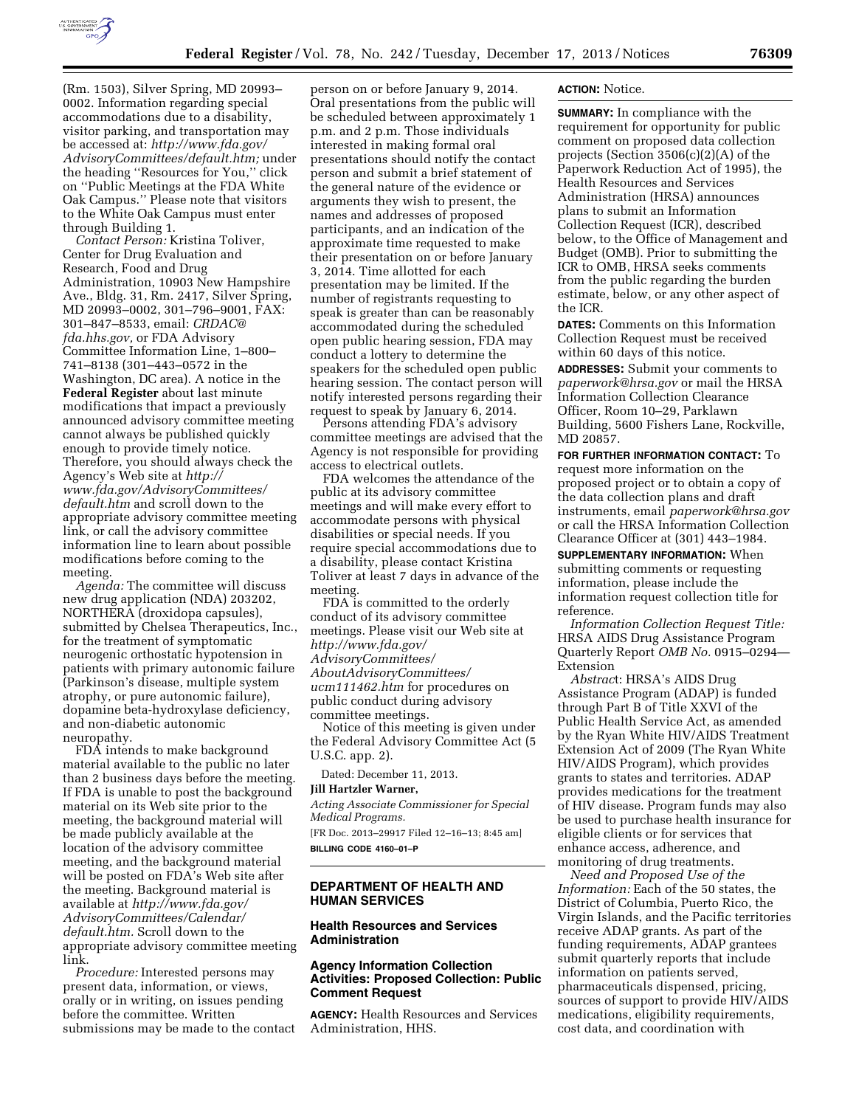

(Rm. 1503), Silver Spring, MD 20993– 0002. Information regarding special accommodations due to a disability, visitor parking, and transportation may be accessed at: *[http://www.fda.gov/](http://www.fda.gov/AdvisoryCommittees/default.htm) [AdvisoryCommittees/default.htm;](http://www.fda.gov/AdvisoryCommittees/default.htm)* under the heading ''Resources for You,'' click on ''Public Meetings at the FDA White Oak Campus.'' Please note that visitors to the White Oak Campus must enter through Building 1.

*Contact Person:* Kristina Toliver, Center for Drug Evaluation and Research, Food and Drug Administration, 10903 New Hampshire Ave., Bldg. 31, Rm. 2417, Silver Spring, MD 20993–0002, 301–796–9001, FAX: 301–847–8533, email: *[CRDAC@](mailto:CRDAC@fda.hhs.gov) [fda.hhs.gov,](mailto:CRDAC@fda.hhs.gov)* or FDA Advisory Committee Information Line, 1–800– 741–8138 (301–443–0572 in the Washington, DC area). A notice in the **Federal Register** about last minute modifications that impact a previously announced advisory committee meeting cannot always be published quickly enough to provide timely notice. Therefore, you should always check the Agency's Web site at *[http://](http://www.fda.gov/AdvisoryCommittees/default.htm) [www.fda.gov/AdvisoryCommittees/](http://www.fda.gov/AdvisoryCommittees/default.htm) [default.htm](http://www.fda.gov/AdvisoryCommittees/default.htm)* and scroll down to the appropriate advisory committee meeting link, or call the advisory committee information line to learn about possible modifications before coming to the meeting.

*Agenda:* The committee will discuss new drug application (NDA) 203202, NORTHERA (droxidopa capsules), submitted by Chelsea Therapeutics, Inc., for the treatment of symptomatic neurogenic orthostatic hypotension in patients with primary autonomic failure (Parkinson's disease, multiple system atrophy, or pure autonomic failure), dopamine beta-hydroxylase deficiency, and non-diabetic autonomic neuropathy.

FDA intends to make background material available to the public no later than 2 business days before the meeting. If FDA is unable to post the background material on its Web site prior to the meeting, the background material will be made publicly available at the location of the advisory committee meeting, and the background material will be posted on FDA's Web site after the meeting. Background material is available at *[http://www.fda.gov/](http://www.fda.gov/AdvisoryCommittees/Calendar/default.htm) [AdvisoryCommittees/Calendar/](http://www.fda.gov/AdvisoryCommittees/Calendar/default.htm) [default.htm.](http://www.fda.gov/AdvisoryCommittees/Calendar/default.htm)* Scroll down to the appropriate advisory committee meeting link.

*Procedure:* Interested persons may present data, information, or views, orally or in writing, on issues pending before the committee. Written submissions may be made to the contact

person on or before January 9, 2014. Oral presentations from the public will be scheduled between approximately 1 p.m. and 2 p.m. Those individuals interested in making formal oral presentations should notify the contact person and submit a brief statement of the general nature of the evidence or arguments they wish to present, the names and addresses of proposed participants, and an indication of the approximate time requested to make their presentation on or before January 3, 2014. Time allotted for each presentation may be limited. If the number of registrants requesting to speak is greater than can be reasonably accommodated during the scheduled open public hearing session, FDA may conduct a lottery to determine the speakers for the scheduled open public hearing session. The contact person will notify interested persons regarding their request to speak by January 6, 2014.

Persons attending FDA's advisory committee meetings are advised that the Agency is not responsible for providing access to electrical outlets.

FDA welcomes the attendance of the public at its advisory committee meetings and will make every effort to accommodate persons with physical disabilities or special needs. If you require special accommodations due to a disability, please contact Kristina Toliver at least 7 days in advance of the meeting.

FDA is committed to the orderly conduct of its advisory committee meetings. Please visit our Web site at *[http://www.fda.gov/](http://www.fda.gov/AdvisoryCommittees/AboutAdvisoryCommittees/ucm111462.htm) [AdvisoryCommittees/](http://www.fda.gov/AdvisoryCommittees/AboutAdvisoryCommittees/ucm111462.htm)*

*[AboutAdvisoryCommittees/](http://www.fda.gov/AdvisoryCommittees/AboutAdvisoryCommittees/ucm111462.htm) [ucm111462.htm](http://www.fda.gov/AdvisoryCommittees/AboutAdvisoryCommittees/ucm111462.htm)* for procedures on public conduct during advisory committee meetings.

Notice of this meeting is given under the Federal Advisory Committee Act (5 U.S.C. app. 2).

Dated: December 11, 2013.

#### **Jill Hartzler Warner,**

*Acting Associate Commissioner for Special Medical Programs.* 

[FR Doc. 2013–29917 Filed 12–16–13; 8:45 am] **BILLING CODE 4160–01–P** 

# **DEPARTMENT OF HEALTH AND HUMAN SERVICES**

### **Health Resources and Services Administration**

## **Agency Information Collection Activities: Proposed Collection: Public Comment Request**

**AGENCY:** Health Resources and Services Administration, HHS.

#### **ACTION:** Notice.

**SUMMARY:** In compliance with the requirement for opportunity for public comment on proposed data collection projects (Section 3506(c)(2)(A) of the Paperwork Reduction Act of 1995), the Health Resources and Services Administration (HRSA) announces plans to submit an Information Collection Request (ICR), described below, to the Office of Management and Budget (OMB). Prior to submitting the ICR to OMB, HRSA seeks comments from the public regarding the burden estimate, below, or any other aspect of the ICR.

**DATES:** Comments on this Information Collection Request must be received within 60 days of this notice.

**ADDRESSES:** Submit your comments to *[paperwork@hrsa.gov](mailto:paperwork@hrsa.gov)* or mail the HRSA Information Collection Clearance Officer, Room 10–29, Parklawn Building, 5600 Fishers Lane, Rockville, MD 20857.

**FOR FURTHER INFORMATION CONTACT:** To request more information on the proposed project or to obtain a copy of the data collection plans and draft instruments, email *[paperwork@hrsa.gov](mailto:paperwork@hrsa.gov)*  or call the HRSA Information Collection Clearance Officer at (301) 443–1984.

**SUPPLEMENTARY INFORMATION:** When submitting comments or requesting information, please include the information request collection title for reference.

*Information Collection Request Title:*  HRSA AIDS Drug Assistance Program Quarterly Report *OMB No.* 0915–0294— Extension

*Abstrac*t: HRSA's AIDS Drug Assistance Program (ADAP) is funded through Part B of Title XXVI of the Public Health Service Act, as amended by the Ryan White HIV/AIDS Treatment Extension Act of 2009 (The Ryan White HIV/AIDS Program), which provides grants to states and territories. ADAP provides medications for the treatment of HIV disease. Program funds may also be used to purchase health insurance for eligible clients or for services that enhance access, adherence, and monitoring of drug treatments.

*Need and Proposed Use of the Information:* Each of the 50 states, the District of Columbia, Puerto Rico, the Virgin Islands, and the Pacific territories receive ADAP grants. As part of the funding requirements, ADAP grantees submit quarterly reports that include information on patients served, pharmaceuticals dispensed, pricing, sources of support to provide HIV/AIDS medications, eligibility requirements, cost data, and coordination with